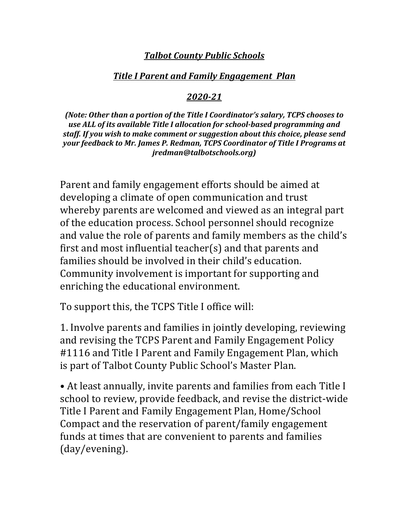# **Talbot County Public Schools**

## *Title I Parent and Family Engagement Plan*

## *2020-21*

*(Note: Other than a portion of the Title I Coordinator's salary, TCPS chooses to* use ALL of its available Title I allocation for school-based programming and staff. If you wish to make comment or suggestion about this choice, please send *your feedback to Mr. James P. Redman, TCPS Coordinator of Title I Programs at jredman@talbotschools.org)*

Parent and family engagement efforts should be aimed at developing a climate of open communication and trust whereby parents are welcomed and viewed as an integral part of the education process. School personnel should recognize and value the role of parents and family members as the child's first and most influential teacher(s) and that parents and families should be involved in their child's education. Community involvement is important for supporting and enriching the educational environment.

To support this, the TCPS Title I office will:

1. Involve parents and families in jointly developing, reviewing and revising the TCPS Parent and Family Engagement Policy #1116 and Title I Parent and Family Engagement Plan, which is part of Talbot County Public School's Master Plan.

• At least annually, invite parents and families from each Title I school to review, provide feedback, and revise the district-wide Title I Parent and Family Engagement Plan, Home/School Compact and the reservation of parent/family engagement funds at times that are convenient to parents and families (day/evening).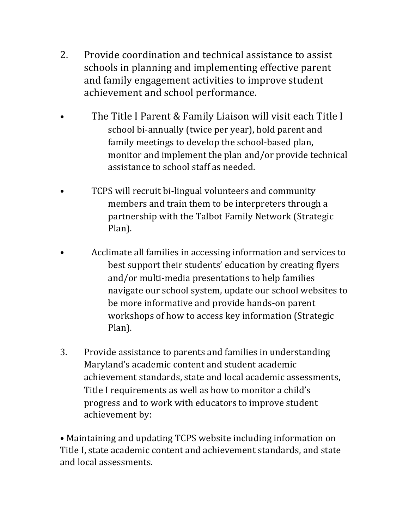- 2. Provide coordination and technical assistance to assist schools in planning and implementing effective parent and family engagement activities to improve student achievement and school performance.
- The Title I Parent & Family Liaison will visit each Title I school bi-annually (twice per year), hold parent and family meetings to develop the school-based plan, monitor and implement the plan and/or provide technical assistance to school staff as needed.
- TCPS will recruit bi-lingual volunteers and community members and train them to be interpreters through a partnership with the Talbot Family Network (Strategic Plan).
- Acclimate all families in accessing information and services to best support their students' education by creating flyers and/or multi-media presentations to help families navigate our school system, update our school websites to be more informative and provide hands-on parent workshops of how to access key information (Strategic Plan).
- 3. Provide assistance to parents and families in understanding Maryland's academic content and student academic achievement standards, state and local academic assessments, Title I requirements as well as how to monitor a child's progress and to work with educators to improve student achievement by:

• Maintaining and updating TCPS website including information on Title I, state academic content and achievement standards, and state and local assessments.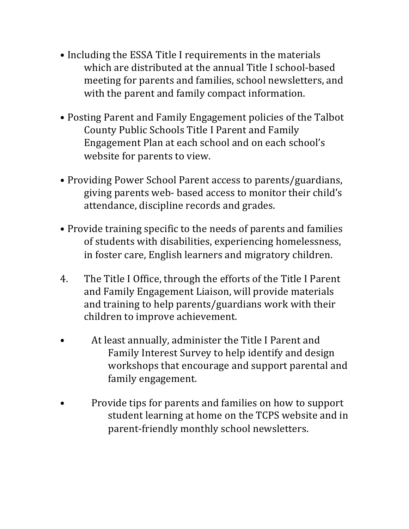- Including the ESSA Title I requirements in the materials which are distributed at the annual Title I school-based meeting for parents and families, school newsletters, and with the parent and family compact information.
- Posting Parent and Family Engagement policies of the Talbot County Public Schools Title I Parent and Family Engagement Plan at each school and on each school's website for parents to view.
- Providing Power School Parent access to parents/guardians, giving parents web- based access to monitor their child's attendance, discipline records and grades.
- Provide training specific to the needs of parents and families of students with disabilities, experiencing homelessness, in foster care, English learners and migratory children.
- 4. The Title I Office, through the efforts of the Title I Parent and Family Engagement Liaison, will provide materials and training to help parents/guardians work with their children to improve achievement.
- At least annually, administer the Title I Parent and Family Interest Survey to help identify and design workshops that encourage and support parental and family engagement.
- Provide tips for parents and families on how to support student learning at home on the TCPS website and in parent-friendly monthly school newsletters.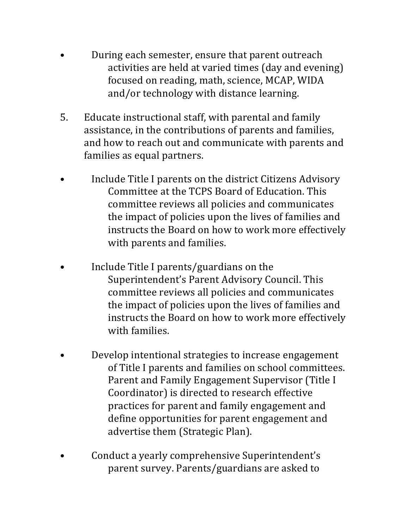- During each semester, ensure that parent outreach activities are held at varied times (day and evening) focused on reading, math, science, MCAP, WIDA and/or technology with distance learning.
- 5. Educate instructional staff, with parental and family assistance, in the contributions of parents and families, and how to reach out and communicate with parents and families as equal partners.
- Include Title I parents on the district Citizens Advisory Committee at the TCPS Board of Education. This committee reviews all policies and communicates the impact of policies upon the lives of families and instructs the Board on how to work more effectively with parents and families.
- Include Title I parents/guardians on the Superintendent's Parent Advisory Council. This committee reviews all policies and communicates the impact of policies upon the lives of families and instructs the Board on how to work more effectively with families.
- Develop intentional strategies to increase engagement of Title I parents and families on school committees. Parent and Family Engagement Supervisor (Title I Coordinator) is directed to research effective practices for parent and family engagement and define opportunities for parent engagement and advertise them (Strategic Plan).
- Conduct a yearly comprehensive Superintendent's parent survey. Parents/guardians are asked to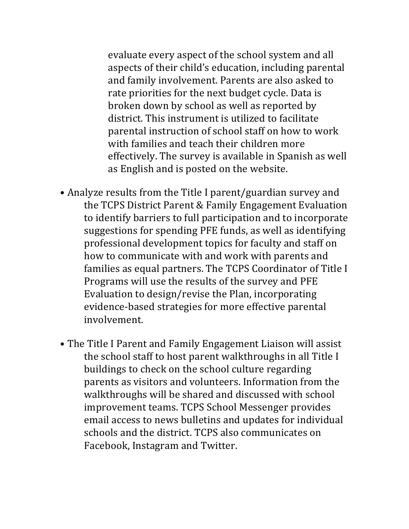evaluate every aspect of the school system and all aspects of their child's education, including parental and family involvement. Parents are also asked to rate priorities for the next budget cycle. Data is broken down by school as well as reported by district. This instrument is utilized to facilitate parental instruction of school staff on how to work with families and teach their children more effectively. The survey is available in Spanish as well as English and is posted on the website.

- Analyze results from the Title I parent/guardian survey and the TCPS District Parent & Family Engagement Evaluation to identify barriers to full participation and to incorporate suggestions for spending PFE funds, as well as identifying professional development topics for faculty and staff on how to communicate with and work with parents and families as equal partners. The TCPS Coordinator of Title I Programs will use the results of the survey and PFE Evaluation to design/revise the Plan, incorporating evidence-based strategies for more effective parental involvement.
- The Title I Parent and Family Engagement Liaison will assist the school staff to host parent walkthroughs in all Title I buildings to check on the school culture regarding parents as visitors and volunteers. Information from the walkthroughs will be shared and discussed with school improvement teams. TCPS School Messenger provides email access to news bulletins and updates for individual schools and the district. TCPS also communicates on Facebook, Instagram and Twitter.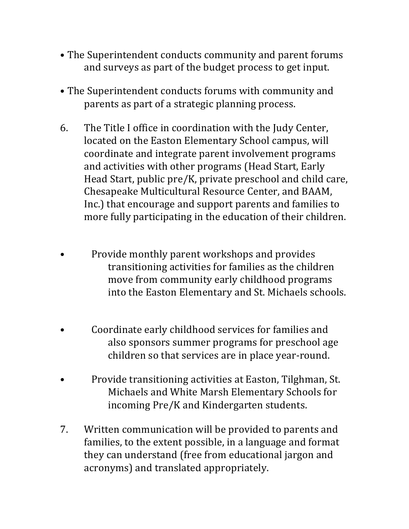- The Superintendent conducts community and parent forums and surveys as part of the budget process to get input.
- The Superintendent conducts forums with community and parents as part of a strategic planning process.
- 6. The Title I office in coordination with the Judy Center, located on the Easton Elementary School campus, will coordinate and integrate parent involvement programs and activities with other programs (Head Start, Early Head Start, public  $pre/K$ , private preschool and child care, Chesapeake Multicultural Resource Center, and BAAM, Inc.) that encourage and support parents and families to more fully participating in the education of their children.
- Provide monthly parent workshops and provides transitioning activities for families as the children move from community early childhood programs into the Easton Elementary and St. Michaels schools.
- Coordinate early childhood services for families and also sponsors summer programs for preschool age children so that services are in place year-round.
- Provide transitioning activities at Easton, Tilghman, St. Michaels and White Marsh Elementary Schools for incoming Pre/K and Kindergarten students.
- 7. Written communication will be provided to parents and families, to the extent possible, in a language and format they can understand (free from educational jargon and acronyms) and translated appropriately.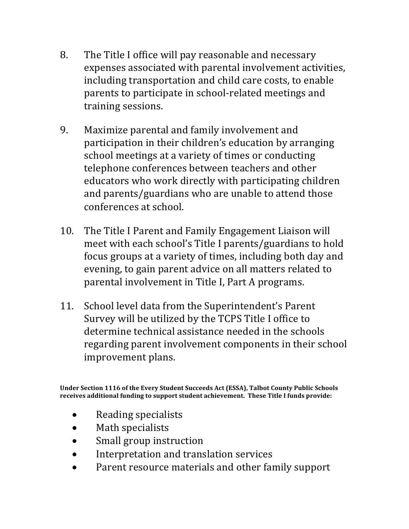- 8. The Title I office will pay reasonable and necessary expenses associated with parental involvement activities, including transportation and child care costs, to enable parents to participate in school-related meetings and training sessions.
- 9. Maximize parental and family involvement and participation in their children's education by arranging school meetings at a variety of times or conducting telephone conferences between teachers and other educators who work directly with participating children and parents/guardians who are unable to attend those conferences at school.
- 10. The Title I Parent and Family Engagement Liaison will meet with each school's Title I parents/guardians to hold focus groups at a variety of times, including both day and evening, to gain parent advice on all matters related to parental involvement in Title I, Part A programs.
- 11. School level data from the Superintendent's Parent Survey will be utilized by the TCPS Title I office to determine technical assistance needed in the schools regarding parent involvement components in their school improvement plans.

Under Section 1116 of the Every Student Succeeds Act (ESSA), Talbot County Public Schools receives additional funding to support student achievement. These Title I funds provide:

- Reading specialists
- Math specialists
- Small group instruction
- Interpretation and translation services
- Parent resource materials and other family support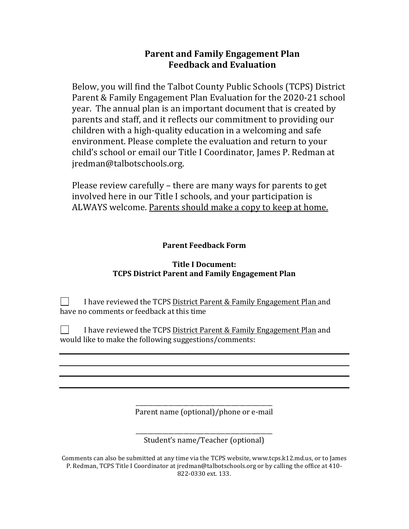# **Parent and Family Engagement Plan Feedback and Evaluation**

Below, you will find the Talbot County Public Schools (TCPS) District Parent & Family Engagement Plan Evaluation for the 2020-21 school year. The annual plan is an important document that is created by parents and staff, and it reflects our commitment to providing our children with a high-quality education in a welcoming and safe environment. Please complete the evaluation and return to your child's school or email our Title I Coordinator, James P. Redman at jredman@talbotschools.org.

Please review carefully  $-$  there are many ways for parents to get involved here in our Title I schools, and your participation is ALWAYS welcome. Parents should make a copy to keep at home.

### **Parent Feedback Form**

#### **Title I Document: TCPS District Parent and Family Engagement Plan**

I have reviewed the TCPS District Parent & Family Engagement Plan and have no comments or feedback at this time

 $\perp$ I have reviewed the TCPS District Parent & Family Engagement Plan and would like to make the following suggestions/comments:

> \_\_\_\_\_\_\_\_\_\_\_\_\_\_\_\_\_\_\_\_\_\_\_\_\_\_\_\_\_\_\_\_\_\_\_\_\_\_\_\_\_\_\_\_\_\_ Parent name (optional)/phone or e-mail

\_\_\_\_\_\_\_\_\_\_\_\_\_\_\_\_\_\_\_\_\_\_\_\_\_\_\_\_\_\_\_\_\_\_\_\_\_\_\_\_\_\_\_\_\_\_ Student's name/Teacher (optional)

Comments can also be submitted at any time via the TCPS website, www.tcps.k12.md.us, or to James P. Redman, TCPS Title I Coordinator at jredman@talbotschools.org or by calling the office at 410-822-0330 ext. 133.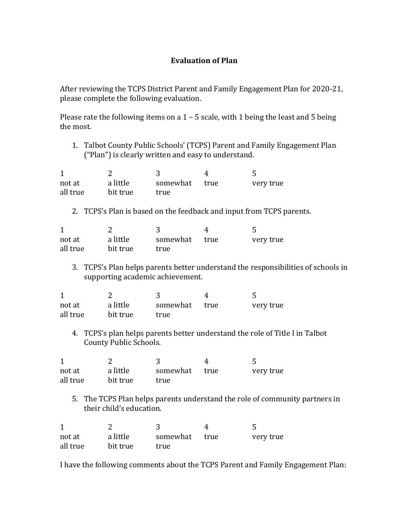### **Evaluation of Plan**

After reviewing the TCPS District Parent and Family Engagement Plan for 2020-21, please complete the following evaluation.

Please rate the following items on a  $1 - 5$  scale, with 1 being the least and 5 being the most.

1. Talbot County Public Schools' (TCPS) Parent and Family Engagement Plan ("Plan") is clearly written and easy to understand.

| not at   | a little | somewhat true | very true |
|----------|----------|---------------|-----------|
| all true | bit true | true          |           |

2. TCPS's Plan is based on the feedback and input from TCPS parents.

| not at   | a little | somewhat | true | very true |
|----------|----------|----------|------|-----------|
| all true | bit true | true     |      |           |

3. TCPS's Plan helps parents better understand the responsibilities of schools in supporting academic achievement.

| not at   | a little | somewhat true | very true |
|----------|----------|---------------|-----------|
| all true | bit true | true          |           |

4. TCPS's plan helps parents better understand the role of Title I in Talbot County Public Schools.

| not at   | a little | somewhat true | very true |
|----------|----------|---------------|-----------|
| all true | bit true | true          |           |

5. The TCPS Plan helps parents understand the role of community partners in their child's education.

| not at   | a little | somewhat | true | very true |
|----------|----------|----------|------|-----------|
| all true | bit true | true     |      |           |

I have the following comments about the TCPS Parent and Family Engagement Plan: